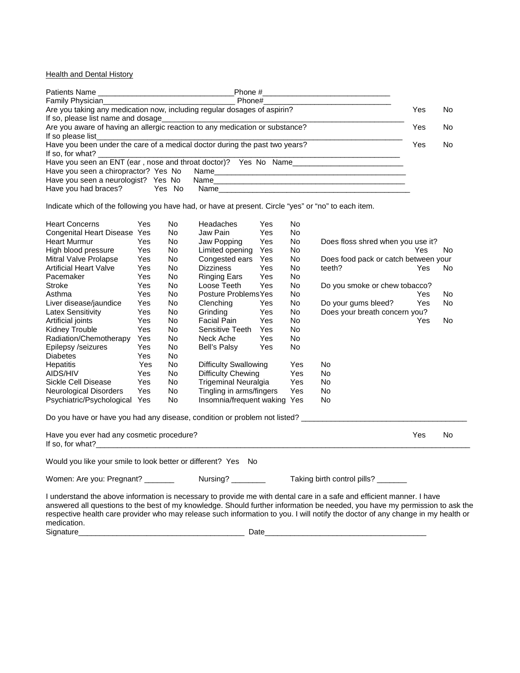**Health and Dental History** 

|                                                                              | Phone #                                                         |    |  |
|------------------------------------------------------------------------------|-----------------------------------------------------------------|----|--|
|                                                                              | Phone#                                                          |    |  |
| Are you taking any medication now, including regular dosages of aspirin?     | Yes                                                             | No |  |
| If so, please list name and dosage                                           |                                                                 |    |  |
| Are you aware of having an allergic reaction to any medication or substance? | Yes                                                             | No |  |
| If so please list                                                            |                                                                 |    |  |
| Have you been under the care of a medical doctor during the past two years?  | Yes                                                             | No |  |
| If so, for what?                                                             |                                                                 |    |  |
|                                                                              | Have you seen an ENT (ear, nose and throat doctor)? Yes No Name |    |  |
|                                                                              | Have you seen a chiropractor? Yes No Name                       |    |  |
| Have you seen a neurologist? Yes No                                          |                                                                 |    |  |
| Have you had braces?<br>Yes No                                               | Name <b>Name</b>                                                |    |  |

Indicate which of the following you have had, or have at present. Circle "yes" or "no" to each item.

| <b>Heart Concerns</b>                                         | Yes | No. | Headaches                    | Yes | No                                  |                                                                                                                       |     |           |
|---------------------------------------------------------------|-----|-----|------------------------------|-----|-------------------------------------|-----------------------------------------------------------------------------------------------------------------------|-----|-----------|
| Congenital Heart Disease Yes                                  |     | No. | Jaw Pain                     | Yes | No                                  |                                                                                                                       |     |           |
| Heart Murmur                                                  | Yes | No. | Jaw Popping                  | Yes | No.                                 | Does floss shred when you use it?                                                                                     |     |           |
| High blood pressure                                           | Yes | No  | Limited opening              | Yes | No                                  |                                                                                                                       | Yes | No        |
| Mitral Valve Prolapse                                         | Yes | No  | Congested ears               | Yes | No                                  | Does food pack or catch between your                                                                                  |     |           |
| <b>Artificial Heart Valve</b>                                 | Yes | No. | <b>Dizziness</b>             | Yes | No                                  | teeth?                                                                                                                | Yes | No        |
| Pacemaker                                                     | Yes | No  | <b>Ringing Ears</b>          | Yes | No                                  |                                                                                                                       |     |           |
| Stroke                                                        | Yes | No. | Loose Teeth                  | Yes | No.                                 | Do you smoke or chew tobacco?                                                                                         |     |           |
| Asthma                                                        | Yes | No. | Posture Problems Yes         |     | No.                                 |                                                                                                                       | Yes | No        |
| Liver disease/jaundice                                        | Yes | No. | Clenching                    | Yes | No                                  | Do your gums bleed?                                                                                                   | Yes | No        |
| Latex Sensitivity                                             | Yes | No  | Grinding                     | Yes | No                                  | Does your breath concern you?                                                                                         |     |           |
| Artificial joints                                             | Yes | No  | <b>Facial Pain</b>           | Yes | No                                  |                                                                                                                       | Yes | No        |
| Kidney Trouble                                                | Yes | No  | Sensitive Teeth              | Yes | No                                  |                                                                                                                       |     |           |
| Radiation/Chemotherapy                                        | Yes | No. | Neck Ache                    | Yes | No                                  |                                                                                                                       |     |           |
| Epilepsy /seizures                                            | Yes | No. | Bell's Palsy                 | Yes | No                                  |                                                                                                                       |     |           |
| <b>Diabetes</b>                                               | Yes | No  |                              |     |                                     |                                                                                                                       |     |           |
| Hepatitis                                                     | Yes | No  | <b>Difficulty Swallowing</b> |     | Yes                                 | No.                                                                                                                   |     |           |
| AIDS/HIV                                                      | Yes | No  | Difficulty Chewing           |     | Yes                                 | No                                                                                                                    |     |           |
| Sickle Cell Disease                                           | Yes | No. | <b>Trigeminal Neuralgia</b>  |     | Yes                                 | No                                                                                                                    |     |           |
| Neurological Disorders                                        | Yes | No  | Tingling in arms/fingers     |     | Yes                                 | No.                                                                                                                   |     |           |
| Psychiatric/Psychological Yes                                 |     | No  | Insomnia/frequent waking Yes |     |                                     | No                                                                                                                    |     |           |
|                                                               |     |     |                              |     |                                     | Do you have or have you had any disease, condition or problem not listed? _________________________                   |     |           |
| Have you ever had any cosmetic procedure?                     |     |     |                              |     |                                     |                                                                                                                       | Yes | <b>No</b> |
| Would you like your smile to look better or different? Yes No |     |     |                              |     |                                     |                                                                                                                       |     |           |
|                                                               |     |     |                              |     | Taking birth control pills? _______ |                                                                                                                       |     |           |
|                                                               |     |     |                              |     |                                     | I understand the above information is necessary to provide me with dental care in a safe and efficient manner. I have |     |           |

answered all questions to the best of my knowledge. Should further information be needed, you have my permission to ask the respective health care provider who may release such information to you. I will notify the doctor of any change in my health or medication. Signature\_\_\_\_\_\_\_\_\_\_\_\_\_\_\_\_\_\_\_\_\_\_\_\_\_\_\_\_\_\_\_\_\_\_\_\_\_\_\_ Date\_\_\_\_\_\_\_\_\_\_\_\_\_\_\_\_\_\_\_\_\_\_\_\_\_\_\_\_\_\_\_\_\_\_\_\_\_\_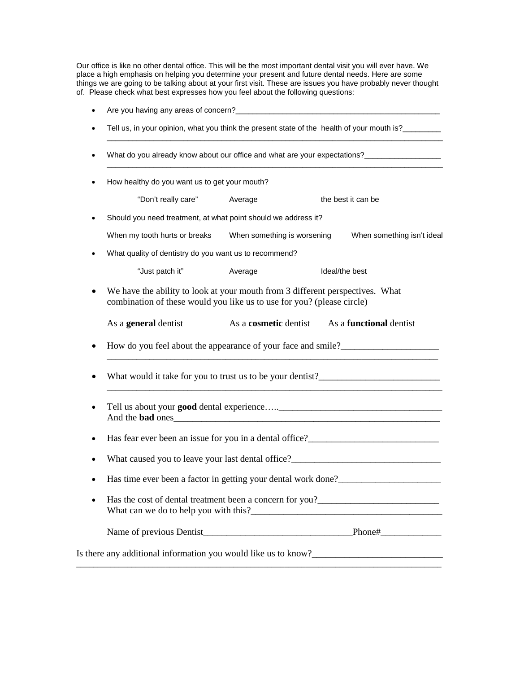Our office is like no other dental office. This will be the most important dental visit you will ever have. We place a high emphasis on helping you determine your present and future dental needs. Here are some things we are going to be talking about at your first visit. These are issues you have probably never thought of. Please check what best expresses how you feel about the following questions:

|           | Tell us, in your opinion, what you think the present state of the health of your mouth is?________                                                                                                                                              |                              |                                                                                   |  |
|-----------|-------------------------------------------------------------------------------------------------------------------------------------------------------------------------------------------------------------------------------------------------|------------------------------|-----------------------------------------------------------------------------------|--|
|           | What do you already know about our office and what are your expectations?_______________                                                                                                                                                        |                              |                                                                                   |  |
|           | How healthy do you want us to get your mouth?                                                                                                                                                                                                   |                              |                                                                                   |  |
|           | "Don't really care" Average                                                                                                                                                                                                                     |                              | the best it can be                                                                |  |
|           | Should you need treatment, at what point should we address it?                                                                                                                                                                                  |                              |                                                                                   |  |
|           | When my tooth hurts or breaks When something is worsening                                                                                                                                                                                       |                              | When something isn't ideal                                                        |  |
|           | What quality of dentistry do you want us to recommend?                                                                                                                                                                                          |                              |                                                                                   |  |
|           | "Just patch it"                                                                                                                                                                                                                                 | Average                      | Ideal/the best                                                                    |  |
| ٠         | We have the ability to look at your mouth from 3 different perspectives. What<br>combination of these would you like us to use for you? (please circle)                                                                                         |                              |                                                                                   |  |
|           | As a <b>general</b> dentist                                                                                                                                                                                                                     | As a <b>cosmetic</b> dentist | As a <b>functional</b> dentist                                                    |  |
|           |                                                                                                                                                                                                                                                 |                              | How do you feel about the appearance of your face and smile?                      |  |
|           |                                                                                                                                                                                                                                                 |                              | What would it take for you to trust us to be your dentist?_______________________ |  |
| $\bullet$ | And the <b>bad</b> ones                                                                                                                                                                                                                         |                              |                                                                                   |  |
| ٠         |                                                                                                                                                                                                                                                 |                              | Has fear ever been an issue for you in a dental office?_________________________  |  |
|           |                                                                                                                                                                                                                                                 |                              | What caused you to leave your last dental office?________________________________ |  |
|           | Has time ever been a factor in getting your dental work done?                                                                                                                                                                                   |                              |                                                                                   |  |
|           | Has the cost of dental treatment been a concern for you?<br><u>Letting</u> the cost of dental treatment been a concern for you?<br><u>Letting the cost</u> of dental treatment been a concern for you?<br>What can we do to help you with this? |                              |                                                                                   |  |
|           |                                                                                                                                                                                                                                                 |                              |                                                                                   |  |
|           |                                                                                                                                                                                                                                                 |                              | Is there any additional information you would like us to know?                    |  |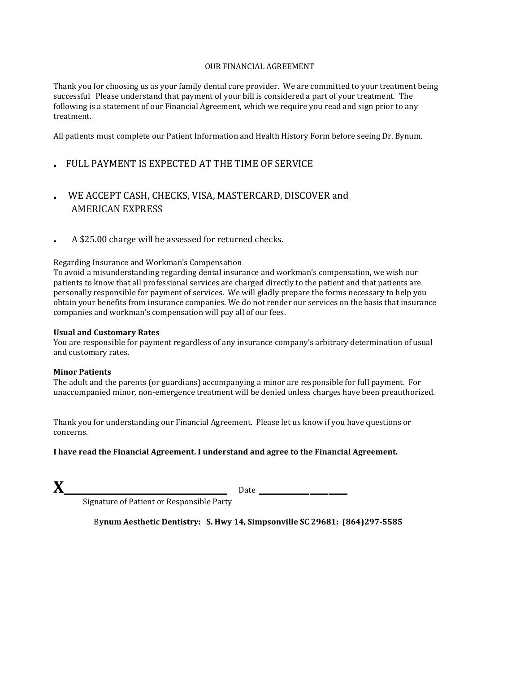## OUR FINANCIAL AGREEMENT

Thank you for choosing us as your family dental care provider. We are committed to your treatment being successful Please understand that payment of your bill is considered a part of your treatment. The following is a statement of our Financial Agreement, which we require you read and sign prior to any treatment.

All patients must complete our Patient Information and Health History Form before seeing Dr. Bynum.

- . FULL PAYMENT IS EXPECTED AT THE TIME OF SERVICE
- . WE ACCEPT CASH, CHECKS, VISA, MASTERCARD, DISCOVER and AMERICAN EXPRESS
- . A \$25.00 charge will be assessed for returned checks.

## Regarding Insurance and Workman's Compensation

To avoid a misunderstanding regarding dental insurance and workman's compensation, we wish our patients to know that all professional services are charged directly to the patient and that patients are personally responsible for payment of services. We will gladly prepare the forms necessary to help you obtain your benefits from insurance companies. We do not render our services on the basis that insurance companies and workman's compensation will pay all of our fees.

## **Usual and Customary Rates**

You are responsible for payment regardless of any insurance company's arbitrary determination of usual and customary rates.

## **Minor Patients**

The adult and the parents (or guardians) accompanying a minor are responsible for full payment. For unaccompanied minor, non-emergence treatment will be denied unless charges have been preauthorized.

Thank you for understanding our Financial Agreement. Please let us know if you have questions or concerns.

**I have read the Financial Agreement. I understand and agree to the Financial Agreement.**

**X\_\_\_\_\_\_\_\_\_\_\_\_\_\_\_\_\_\_\_\_\_\_\_\_\_\_** Date **\_\_\_\_\_\_\_\_\_\_\_\_\_\_**

Signature of Patient or Responsible Party

B**ynum Aesthetic Dentistry: S. Hwy 14, Simpsonville SC 29681: (864)297-5585**